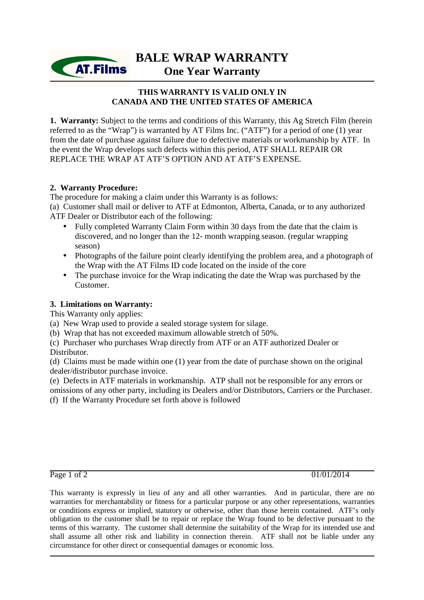**BALE WRAP WARRANTY One Year Warranty**

# **THIS WARRANTY IS VALID ONLY IN CANADA AND THE UNITED STATES OF AMERICA**

1. Warranty: Subject to the terms and conditions of this Warranty, this Ag Stretch Film (herein referred to as the "Wrap") is warranted by AT Films Inc. ("ATF") for a period of one (1) year from the date of purchase against failure due to defective materials or workmanship by ATF. In the event the Wrap develops such defects within this period, ATF SHALL REPAIR OR REPLACE THE WRAP AT ATF'S OPTION AND AT ATF'S EXPENSE.

### **2. Warranty Procedure:**

**AT.Films** 

The procedure for making a claim under this Warranty is as follows:

(a) Customer shall mail or deliver to ATF at Edmonton, Alberta, Canada, or to any authorized ATF Dealer or Distributor each of the following:

- Fully completed Warranty Claim Form within 30 days from the date that the claim is discovered, and no longer than the 12- month wrapping season. (regular wrapping season)
- Photographs of the failure point clearly identifying the problem area, and a photograph of the Wrap with the AT Films ID code located on the inside of the core
- The purchase invoice for the Wrap indicating the date the Wrap was purchased by the Customer.

# **3. Limitations on Warranty:**

This Warranty only applies:

(a) New Wrap used to provide a sealed storage system for silage.

- (b) Wrap that has not exceeded maximum allowable stretch of 50%.
- (c) Purchaser who purchases Wrap directly from ATF or an ATF authorized Dealer or Distributor.

(d) Claims must be made within one (1) year from the date of purchase shown on the original dealer/distributor purchase invoice.

(e) Defects in ATF materials in workmanship. ATP shall not be responsible for any errors or omissions of any other party, including its Dealers and/or Distributors, Carriers or the Purchaser. (f) If the Warranty Procedure set forth above is followed

Page 1 of 2 01/01/2014

This warranty is expressly in lieu of any and all other warranties. And in particular, there are no warranties for merchantability or fitness for a particular purpose or any other representations, warranties or conditions express or implied, statutory or otherwise, other than those herein contained. ATF's only obligation to the customer shall be to repair or replace the Wrap found to be defective pursuant to the terms of this warranty. The customer shall determine the suitability of the Wrap for its intended use and shall assume all other risk and liability in connection therein. ATF shall not be liable under any circumstance for other direct or consequential damages or economic loss.